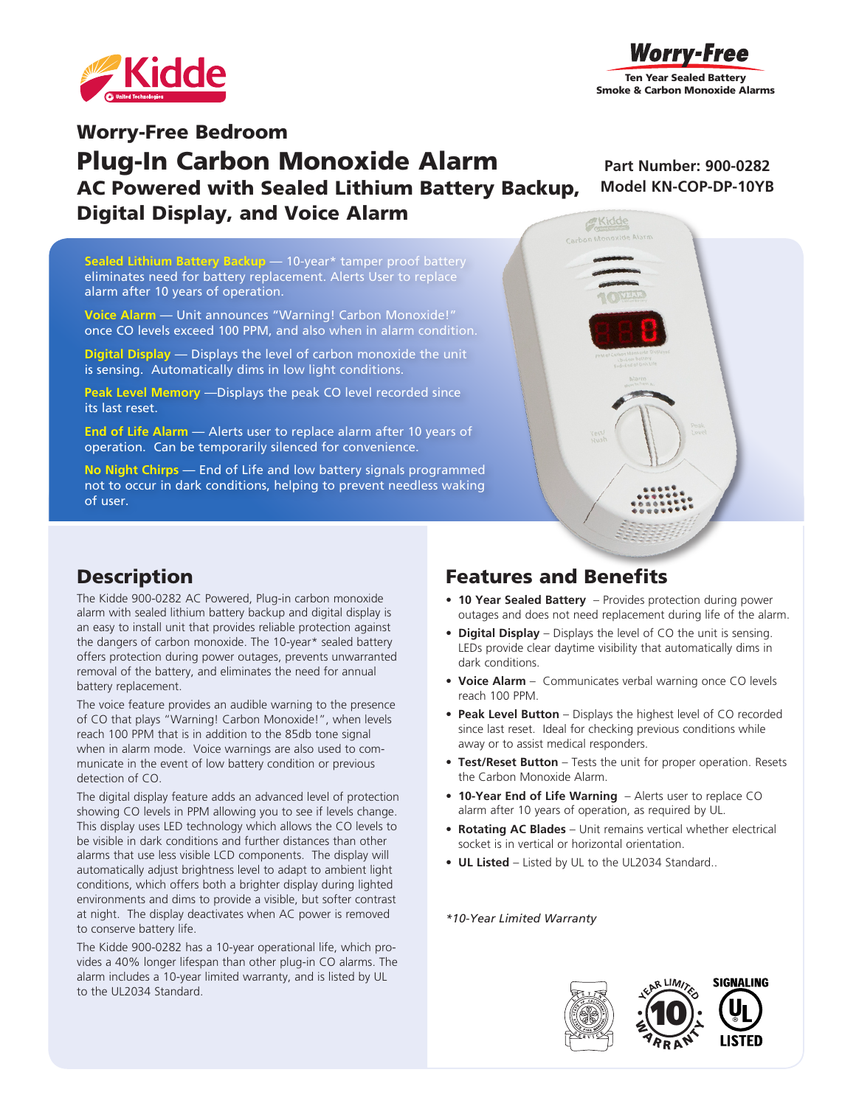



**Part Number: 900-0282 Model KN-COP-DP-10YB**

# Worry-Free Bedroom Plug-In Carbon Monoxide Alarm AC Powered with Sealed Lithium Battery Backup, Digital Display, and Voice Alarm

**Sealed Lithium Battery Backup** — 10-year\* tamper proof battery eliminates need for battery replacement. Alerts User to replace alarm after 10 years of operation.

**Voice Alarm** — Unit announces "Warning! Carbon Monoxide!" once CO levels exceed 100 PPM, and also when in alarm condition.

**Digital Display** — Displays the level of carbon monoxide the unit is sensing. Automatically dims in low light conditions.

**Peak Level Memory** —Displays the peak CO level recorded since its last reset.

**End of Life Alarm** — Alerts user to replace alarm after 10 years of operation. Can be temporarily silenced for convenience.

**No Night Chirps** — End of Life and low battery signals programmed not to occur in dark conditions, helping to prevent needless waking of user.



#### **Description**

The Kidde 900-0282 AC Powered, Plug-in carbon monoxide alarm with sealed lithium battery backup and digital display is an easy to install unit that provides reliable protection against the dangers of carbon monoxide. The 10-year\* sealed battery offers protection during power outages, prevents unwarranted removal of the battery, and eliminates the need for annual battery replacement.

The voice feature provides an audible warning to the presence of CO that plays "Warning! Carbon Monoxide!", when levels reach 100 PPM that is in addition to the 85db tone signal when in alarm mode. Voice warnings are also used to communicate in the event of low battery condition or previous detection of CO.

The digital display feature adds an advanced level of protection showing CO levels in PPM allowing you to see if levels change. This display uses LED technology which allows the CO levels to be visible in dark conditions and further distances than other alarms that use less visible LCD components. The display will automatically adjust brightness level to adapt to ambient light conditions, which offers both a brighter display during lighted environments and dims to provide a visible, but softer contrast at night. The display deactivates when AC power is removed to conserve battery life.

The Kidde 900-0282 has a 10-year operational life, which provides a 40% longer lifespan than other plug-in CO alarms. The alarm includes a 10-year limited warranty, and is listed by UL to the UL2034 Standard.

## Features and Benefits

- **• 10 Year Sealed Battery**  Provides protection during power outages and does not need replacement during life of the alarm.
- **• Digital Display** Displays the level of CO the unit is sensing. LEDs provide clear daytime visibility that automatically dims in dark conditions.
- **• Voice Alarm** Communicates verbal warning once CO levels reach 100 PPM.
- **• Peak Level Button** Displays the highest level of CO recorded since last reset. Ideal for checking previous conditions while away or to assist medical responders.
- **• Test/Reset Button** Tests the unit for proper operation. Resets the Carbon Monoxide Alarm.
- **• 10-Year End of Life Warning**  Alerts user to replace CO alarm after 10 years of operation, as required by UL.
- **• Rotating AC Blades** Unit remains vertical whether electrical socket is in vertical or horizontal orientation.
- **• UL Listed**  Listed by UL to the UL2034 Standard..

*\*10-Year Limited Warranty*